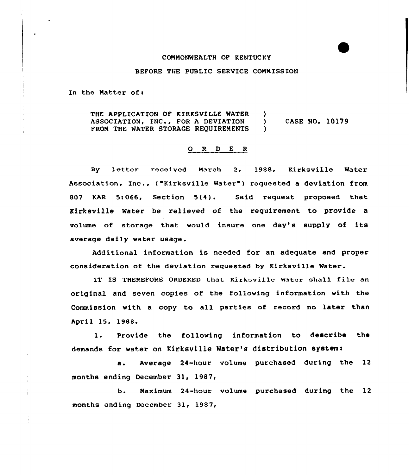## CONNONWEALTH OF KENTUC KY

## BEFORE THE PUBLIC SERVICE COMMISSION

In the Natter of:

THE APPLICATION OF KIRKSVILLE WATER )<br>ASSOCIATION, INC., FOR A DEVIATION ) ASSOCIATION, INC., FOR A DEVIATION ) CASE NO. 10179<br>FROM THE WATER STORAGE REOUIREMENTS ) FROM THE WATER STORAGE REQUIREMENTS

## $O$  R  $D$  E R

By letter received March 2, 1988, Kirksville Water Association, Inc., ("Kirksville Water") requested a deviation from 807 KAR 5:066, Section 5(4). Said request proposed that Kirksville Water be relieved of the requirement to provide a volume of storage that would insure one day's supply of its average daily water usage.

Additional information is needed for an adequate and proper consideration of the deviation requested by Kirksville Water.

IT IS THEREFORE ORDERED that Kirksville Water shall file an original and seven copies of the following information with the Commission with a copy to all parties of record no later than April 15, 1988.

1. Provide the following information to describe the demands for water on Kirksville Water's distribution system:

a. Average 24-hour volume purchased during the 12 months ending December 31, 1987,

b. Maximum 24-hour volume purchased during the 12 months ending December 31, 1987,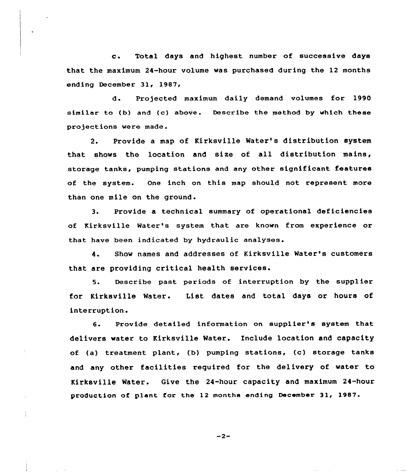c. Total days and highest number of successive days that the maximum 24-hour volume was purchased during the 12 months ending December 31, 1987,

d. Projected maximum daily demand volumes for 1990 similar to (b) and (c) above. Describe the method by which these projections wexe made.

2. Provide a map of Kirksville Water's distribution system that shows the location and size of all distribution mains, storage tanks, pumping stations and any other significant features of the system. One inch on this map should not represent more than one mile on the ground.

3. Provide a technical summary of opexational deficiencies of Kirksville Water's system that are known from experience or that have been indicated by hydraulic analyses'.

Show names and addresses of Kirksville Water's customers 4. that are providing critical health services.

5. Describe past periods of interruption by the suppliex for Kirksville Water. List dates and total days or hours of interruption.

6. Provide detailed information on supplier's system that delivers water to Kirksville Water. Include location and capacity of (a) treatment plant, (b) pumping stations, (c) storage tanks and any other facilities required for the delivery of water to Kirksville Water. Give the 24-hour capacity and maximum 24-hour production of plant for the 12 months ending December 31, 1987.

 $-2-$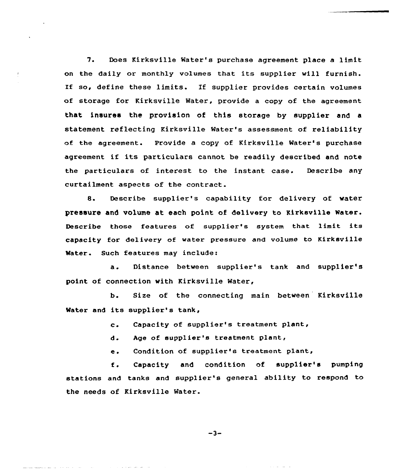7. Does Kirksville Water's purchase agreement place a limit on the daily or monthly volumes that its supplier will furnish. If so, define these limits. If supplier provides certain volumes of storage for Kirksville Water, provide a copy of the agreement that insures the provision of this storage by supplier and a statement reflecting Kirksville Water's assessment of reliability of the agreement. Provide a copy of Kirksville Water's purchase agreement if its particulars cannot be readily described and note the particulars of interest to the instant case. Describe any curtailment aspects of the contract.

8. Describe supplier's capability for delivery of water pressure and volume at each point of delivery to Kirksville Mater. Describe those features of supplier's system that limit its capacity for delivery of water pressure and volume to Kirksville Mater. Such features may include:

a. Distance between supplier's tank and supplier's point of connection with Kirksville Water,

b. Size of the connecting main between Kirksville Water and its supplier's tank,

c. Capacity of supplier's treatment plant,

d. Age of supplier's treatment plant,

Condition of supplier's treatment plant,  $e<sub>z</sub>$ 

Capacity and condition of supplier's pumping f. stations and tanks and supplier's general ability to respond to the needs of Kirksville Water.

 $-3-$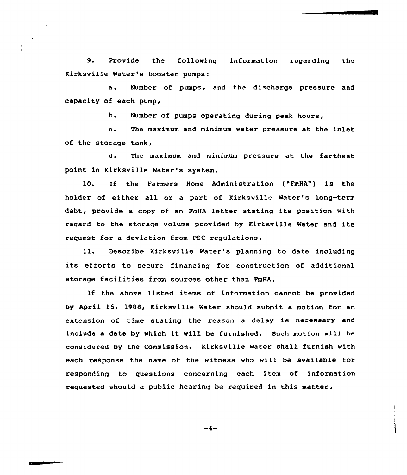9. Provide the following information regarding the Kirksville Water's booster pumps:

a. Number of pumps, and the discharge pressure and capacity of each pump<

b. Number of pumps operating during peak hours,

c. The maximum and minimum water pressure at the inlet of the storage tank,

d. The maximum and minimum pressure at the farthest point in Kirksville Water's system.

10. If the Farmers Home Administration ("FmHA") is the holder of either all or a part of Kirksville Water's long-term debt, provide a copy of an FmHA letter stating its position with regard to the storage volume provided by Kirksville Water and its request for a deviation from PSC regulations.

ll. Describe Kirksville Water's planning to date including its efforts to secure financing for construction of additional storage facilities from sources other than FmHA.

If the above listed items of information cannot be provided by April 15, 1988, Kirksville Water should submit a motion for an extension of time stating the reason <sup>a</sup> delay is necessary and include <sup>a</sup> date by which it will be furnished. Such motion will be considered by the Commission. Kirksville Water shall furnish with each response the name of the witness who will be available for responding to questions concerning each item of information requested should <sup>a</sup> public hearing be required in this matter .

$$
-4-
$$